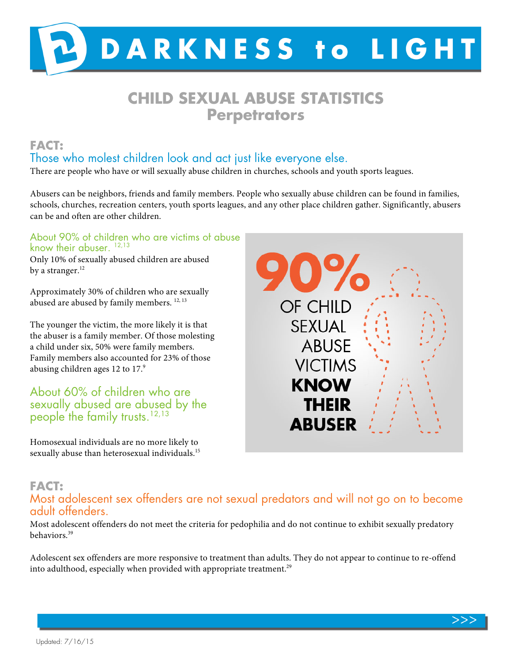

# **CHILD SEXUAL ABUSE STATISTICS Perpetrators**

# **FACT:**  Those who molest children look and act just like everyone else.

There are people who have or will sexually abuse children in churches, schools and youth sports leagues.

Abusers can be neighbors, friends and family members. People who sexually abuse children can be found in families, schools, churches, recreation centers, youth sports leagues, and any other place children gather. Significantly, abusers can be and often are other children.

#### About 90% of children who are victims of abuse know their abuser.<sup>12,13</sup>

Only 10% of sexually abused children are abused by a stranger.<sup>12</sup>

Approximately 30% of children who are sexually abused are abused by family members.<sup>12, 13</sup>

The younger the victim, the more likely it is that the abuser is a family member. Of those molesting a child under six, 50% were family members. Family members also accounted for 23% of those abusing children ages 12 to 17.9

# About 60% of children who are sexually abused are abused by the people the family trusts.  $12,13$

Homosexual individuals are no more likely to sexually abuse than heterosexual individuals.<sup>15</sup>



#### **FACT:**  Most adolescent sex offenders are not sexual predators and will not go on to become adult offenders.

Most adolescent offenders do not meet the criteria for pedophilia and do not continue to exhibit sexually predatory behaviors.39

Adolescent sex offenders are more responsive to treatment than adults. They do not appear to continue to re-offend into adulthood, especially when provided with appropriate treatment.<sup>29</sup>